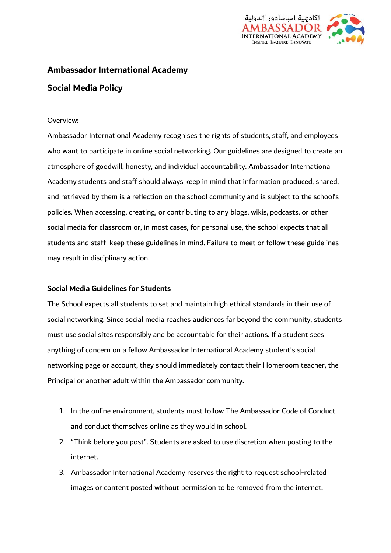

# **Ambassador International Academy**

# **Social Media Policy**

### Overview:

Ambassador International Academy recognises the rights of students, staff, and employees who want to participate in online social networking. Our guidelines are designed to create an atmosphere of goodwill, honesty, and individual accountability. Ambassador International Academy students and staff should always keep in mind that information produced, shared, and retrieved by them is a reflection on the school community and is subject to the school's policies. When accessing, creating, or contributing to any blogs, wikis, podcasts, or other social media for classroom or, in most cases, for personal use, the school expects that all students and staff keep these guidelines in mind. Failure to meet or follow these guidelines may result in disciplinary action.

# **Social Media Guidelines for Students**

The School expects all students to set and maintain high ethical standards in their use of social networking. Since social media reaches audiences far beyond the community, students must use social sites responsibly and be accountable for their actions. If a student sees anything of concern on a fellow Ambassador International Academy student's social networking page or account, they should immediately contact their Homeroom teacher, the Principal or another adult within the Ambassador community.

- 1. In the online environment, students must follow The Ambassador Code of Conduct and conduct themselves online as they would in school.
- 2. "Think before you post". Students are asked to use discretion when posting to the internet.
- 3. Ambassador International Academy reserves the right to request school-related images or content posted without permission to be removed from the internet.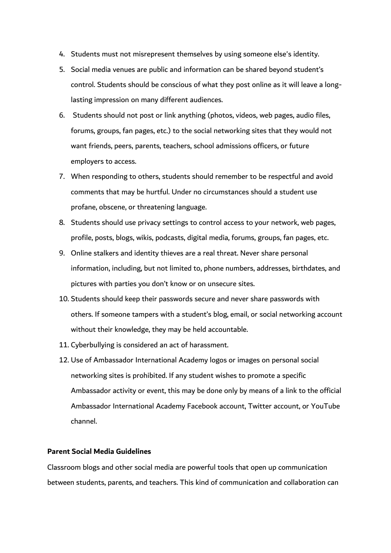- 4. Students must not misrepresent themselves by using someone else's identity.
- 5. Social media venues are public and information can be shared beyond student's control. Students should be conscious of what they post online as it will leave a longlasting impression on many different audiences.
- 6. Students should not post or link anything (photos, videos, web pages, audio files, forums, groups, fan pages, etc.) to the social networking sites that they would not want friends, peers, parents, teachers, school admissions officers, or future employers to access.
- 7. When responding to others, students should remember to be respectful and avoid comments that may be hurtful. Under no circumstances should a student use profane, obscene, or threatening language.
- 8. Students should use privacy settings to control access to your network, web pages, profile, posts, blogs, wikis, podcasts, digital media, forums, groups, fan pages, etc.
- 9. Online stalkers and identity thieves are a real threat. Never share personal information, including, but not limited to, phone numbers, addresses, birthdates, and pictures with parties you don't know or on unsecure sites.
- 10. Students should keep their passwords secure and never share passwords with others. If someone tampers with a student's blog, email, or social networking account without their knowledge, they may be held accountable.
- 11. Cyberbullying is considered an act of harassment.
- 12. Use of Ambassador International Academy logos or images on personal social networking sites is prohibited. If any student wishes to promote a specific Ambassador activity or event, this may be done only by means of a link to the official Ambassador International Academy Facebook account, Twitter account, or YouTube channel.

#### **Parent Social Media Guidelines**

Classroom blogs and other social media are powerful tools that open up communication between students, parents, and teachers. This kind of communication and collaboration can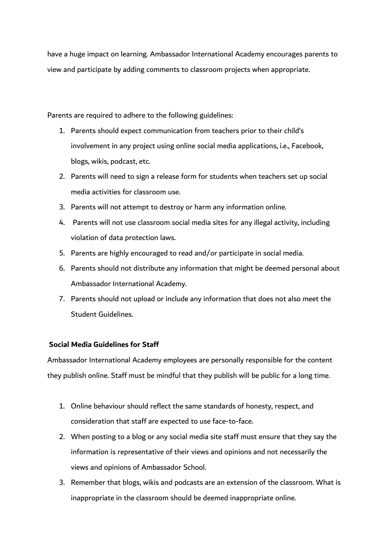have a huge impact on learning. Ambassador International Academy encourages parents to view and participate by adding comments to classroom projects when appropriate.

Parents are required to adhere to the following guidelines:

- 1. Parents should expect communication from teachers prior to their child's involvement in any project using online social media applications, i.e., Facebook, blogs, wikis, podcast, etc.
- 2. Parents will need to sign a release form for students when teachers set up social media activities for classroom use.
- 3. Parents will not attempt to destroy or harm any information online.
- 4. Parents will not use classroom social media sites for any illegal activity, including violation of data protection laws.
- 5. Parents are highly encouraged to read and/or participate in social media.
- 6. Parents should not distribute any information that might be deemed personal about Ambassador International Academy.
- 7. Parents should not upload or include any information that does not also meet the Student Guidelines.

# **Social Media Guidelines for Staff**

Ambassador International Academy employees are personally responsible for the content they publish online. Staff must be mindful that they publish will be public for a long time.

- 1. Online behaviour should reflect the same standards of honesty, respect, and consideration that staff are expected to use face-to-face.
- 2. When posting to a blog or any social media site staff must ensure that they say the information is representative of their views and opinions and not necessarily the views and opinions of Ambassador School.
- 3. Remember that blogs, wikis and podcasts are an extension of the classroom. What is inappropriate in the classroom should be deemed inappropriate online.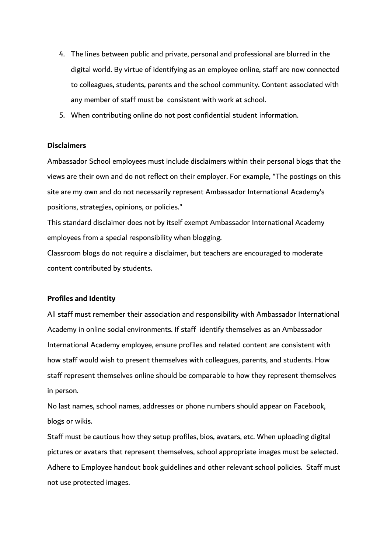- 4. The lines between public and private, personal and professional are blurred in the digital world. By virtue of identifying as an employee online, staff are now connected to colleagues, students, parents and the school community. Content associated with any member of staff must be consistent with work at school.
- 5. When contributing online do not post confidential student information.

#### **Disclaimers**

Ambassador School employees must include disclaimers within their personal blogs that the views are their own and do not reflect on their employer. For example, "The postings on this site are my own and do not necessarily represent Ambassador International Academy's positions, strategies, opinions, or policies."

This standard disclaimer does not by itself exempt Ambassador International Academy employees from a special responsibility when blogging.

Classroom blogs do not require a disclaimer, but teachers are encouraged to moderate content contributed by students.

#### **Profiles and Identity**

All staff must remember their association and responsibility with Ambassador International Academy in online social environments. If staff identify themselves as an Ambassador International Academy employee, ensure profiles and related content are consistent with how staff would wish to present themselves with colleagues, parents, and students. How staff represent themselves online should be comparable to how they represent themselves in person.

No last names, school names, addresses or phone numbers should appear on Facebook, blogs or wikis.

Staff must be cautious how they setup profiles, bios, avatars, etc. When uploading digital pictures or avatars that represent themselves, school appropriate images must be selected. Adhere to Employee handout book guidelines and other relevant school policies. Staff must not use protected images.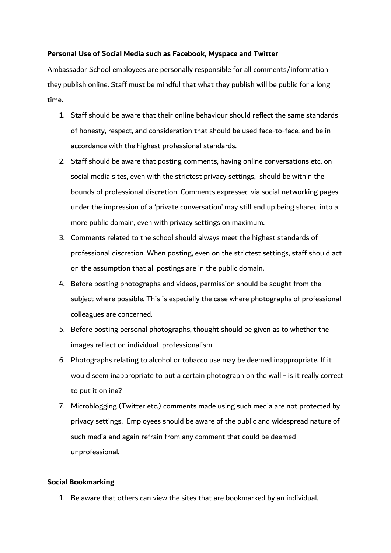# **Personal Use of Social Media such as Facebook, Myspace and Twitter**

Ambassador School employees are personally responsible for all comments/information they publish online. Staff must be mindful that what they publish will be public for a long time.

- 1. Staff should be aware that their online behaviour should reflect the same standards of honesty, respect, and consideration that should be used face-to-face, and be in accordance with the highest professional standards.
- 2. Staff should be aware that posting comments, having online conversations etc. on social media sites, even with the strictest privacy settings, should be within the bounds of professional discretion. Comments expressed via social networking pages under the impression of a 'private conversation' may still end up being shared into a more public domain, even with privacy settings on maximum.
- 3. Comments related to the school should always meet the highest standards of professional discretion. When posting, even on the strictest settings, staff should act on the assumption that all postings are in the public domain.
- 4. Before posting photographs and videos, permission should be sought from the subject where possible. This is especially the case where photographs of professional colleagues are concerned.
- 5. Before posting personal photographs, thought should be given as to whether the images reflect on individual professionalism.
- 6. Photographs relating to alcohol or tobacco use may be deemed inappropriate. If it would seem inappropriate to put a certain photograph on the wall - is it really correct to put it online?
- 7. Microblogging (Twitter etc.) comments made using such media are not protected by privacy settings. Employees should be aware of the public and widespread nature of such media and again refrain from any comment that could be deemed unprofessional.

# **Social Bookmarking**

1. Be aware that others can view the sites that are bookmarked by an individual.